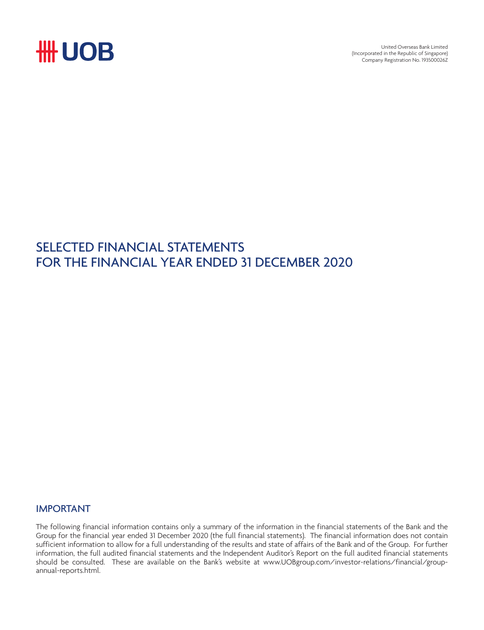

United Overseas Bank Limited (Incorporated in the Republic of Singapore) Company Registration No. 193500026Z

## SELECTED FINANCIAL STATEMENTS FOR THE FINANCIAL YEAR ENDED 31 DECEMBER 2020

### IMPORTANT

The following financial information contains only a summary of the information in the financial statements of the Bank and the Group for the financial year ended 31 December 2020 (the full financial statements). The financial information does not contain sufficient information to allow for a full understanding of the results and state of affairs of the Bank and of the Group. For further information, the full audited financial statements and the Independent Auditor's Report on the full audited financial statements should be consulted. These are available on the Bank's website at www.UOBgroup.com/investor-relations/financial/groupannual-reports.html.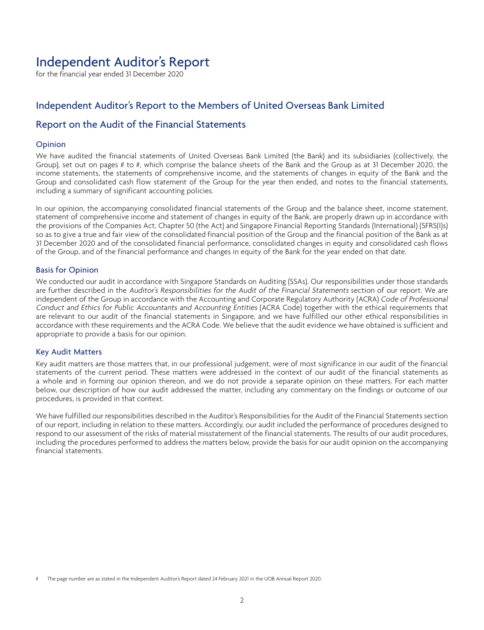## Independent Auditor's Report

for the financial year ended 31 December 2020

## Independent Auditor's Report to the Members of United Overseas Bank Limited

### Report on the Audit of the Financial Statements

#### Opinion

We have audited the financial statements of United Overseas Bank Limited (the Bank) and its subsidiaries (collectively, the Group), set out on pages # to #, which comprise the balance sheets of the Bank and the Group as at 31 December 2020, the income statements, the statements of comprehensive income, and the statements of changes in equity of the Bank and the Group and consolidated cash flow statement of the Group for the year then ended, and notes to the financial statements, including a summary of significant accounting policies.

In our opinion, the accompanying consolidated financial statements of the Group and the balance sheet, income statement, statement of comprehensive income and statement of changes in equity of the Bank, are properly drawn up in accordance with the provisions of the Companies Act, Chapter 50 (the Act) and Singapore Financial Reporting Standards (International) (SFRS(I)s) so as to give a true and fair view of the consolidated financial position of the Group and the financial position of the Bank as at 31 December 2020 and of the consolidated financial performance, consolidated changes in equity and consolidated cash flows of the Group, and of the financial performance and changes in equity of the Bank for the year ended on that date.

#### Basis for Opinion

We conducted our audit in accordance with Singapore Standards on Auditing (SSAs). Our responsibilities under those standards are further described in the Auditor's Responsibilities for the Audit of the Financial Statements section of our report. We are independent of the Group in accordance with the Accounting and Corporate Regulatory Authority (ACRA) Code of Professional Conduct and Ethics for Public Accountants and Accounting Entities (ACRA Code) together with the ethical requirements that are relevant to our audit of the financial statements in Singapore, and we have fulfilled our other ethical responsibilities in accordance with these requirements and the ACRA Code. We believe that the audit evidence we have obtained is sufficient and appropriate to provide a basis for our opinion.

#### Key Audit Matters

Key audit matters are those matters that, in our professional judgement, were of most significance in our audit of the financial statements of the current period. These matters were addressed in the context of our audit of the financial statements as a whole and in forming our opinion thereon, and we do not provide a separate opinion on these matters. For each matter below, our description of how our audit addressed the matter, including any commentary on the findings or outcome of our procedures, is provided in that context.

We have fulfilled our responsibilities described in the Auditor's Responsibilities for the Audit of the Financial Statements section of our report, including in relation to these matters. Accordingly, our audit included the performance of procedures designed to respond to our assessment of the risks of material misstatement of the financial statements. The results of our audit procedures, including the procedures performed to address the matters below, provide the basis for our audit opinion on the accompanying financial statements.

The page number are as stated in the Independent Auditor's Report dated 24 February 2021 in the UOB Annual Report 2020.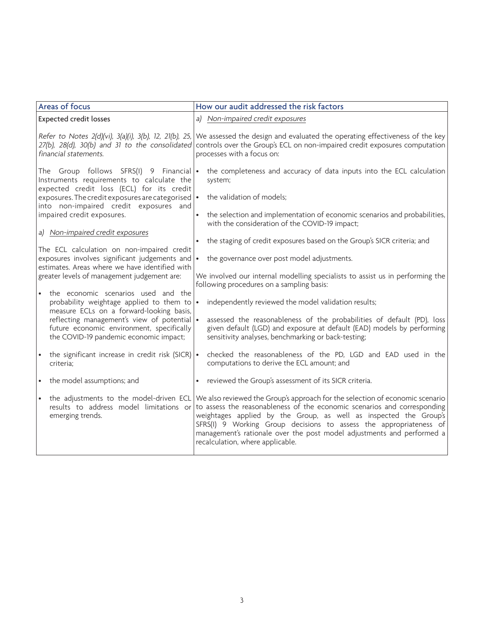| Areas of focus                                                                                                                                        | How our audit addressed the risk factors                                                                                                                                                                                                                                                                                                                                                                          |
|-------------------------------------------------------------------------------------------------------------------------------------------------------|-------------------------------------------------------------------------------------------------------------------------------------------------------------------------------------------------------------------------------------------------------------------------------------------------------------------------------------------------------------------------------------------------------------------|
| <b>Expected credit losses</b>                                                                                                                         | a) Non-impaired credit exposures                                                                                                                                                                                                                                                                                                                                                                                  |
| Refer to Notes 2(d)(vi), 3(a)(i), 3(b), 12, 21(b), 25,<br>27(b), 28(d), 30(b) and 31 to the consolidated<br>financial statements.                     | We assessed the design and evaluated the operating effectiveness of the key<br>controls over the Group's ECL on non-impaired credit exposures computation<br>processes with a focus on:                                                                                                                                                                                                                           |
| The Group follows SFRS(I) 9 Financial $\bullet$<br>Instruments requirements to calculate the<br>expected credit loss (ECL) for its credit             | the completeness and accuracy of data inputs into the ECL calculation<br>system;                                                                                                                                                                                                                                                                                                                                  |
| exposures. The credit exposures are categorised $\cdot$<br>into non-impaired credit exposures and                                                     | the validation of models;                                                                                                                                                                                                                                                                                                                                                                                         |
| impaired credit exposures.                                                                                                                            | the selection and implementation of economic scenarios and probabilities,<br>with the consideration of the COVID-19 impact;                                                                                                                                                                                                                                                                                       |
| a) Non-impaired credit exposures                                                                                                                      |                                                                                                                                                                                                                                                                                                                                                                                                                   |
|                                                                                                                                                       | the staging of credit exposures based on the Group's SICR criteria; and                                                                                                                                                                                                                                                                                                                                           |
| The ECL calculation on non-impaired credit<br>exposures involves significant judgements and $\cdot$<br>estimates. Areas where we have identified with | the governance over post model adjustments.                                                                                                                                                                                                                                                                                                                                                                       |
| greater levels of management judgement are:                                                                                                           | We involved our internal modelling specialists to assist us in performing the<br>following procedures on a sampling basis:                                                                                                                                                                                                                                                                                        |
| the economic scenarios used and the<br>$\bullet$<br>probability weightage applied to them to<br>measure ECLs on a forward-looking basis,              | independently reviewed the model validation results;<br>$\bullet$                                                                                                                                                                                                                                                                                                                                                 |
| reflecting management's view of potential .<br>future economic environment, specifically<br>the COVID-19 pandemic economic impact;                    | assessed the reasonableness of the probabilities of default (PD), loss<br>given default (LGD) and exposure at default (EAD) models by performing<br>sensitivity analyses, benchmarking or back-testing;                                                                                                                                                                                                           |
| the significant increase in credit risk (SICR) $\cdot$<br>criteria;                                                                                   | checked the reasonableness of the PD, LGD and EAD used in the<br>computations to derive the ECL amount; and                                                                                                                                                                                                                                                                                                       |
| the model assumptions; and<br>$\bullet$                                                                                                               | reviewed the Group's assessment of its SICR criteria.<br>$\bullet$                                                                                                                                                                                                                                                                                                                                                |
| the adjustments to the model-driven ECL<br>results to address model limitations or<br>emerging trends.                                                | We also reviewed the Group's approach for the selection of economic scenario<br>to assess the reasonableness of the economic scenarios and corresponding<br>weightages applied by the Group, as well as inspected the Group's<br>SFRS(I) 9 Working Group decisions to assess the appropriateness of<br>management's rationale over the post model adjustments and performed a<br>recalculation, where applicable. |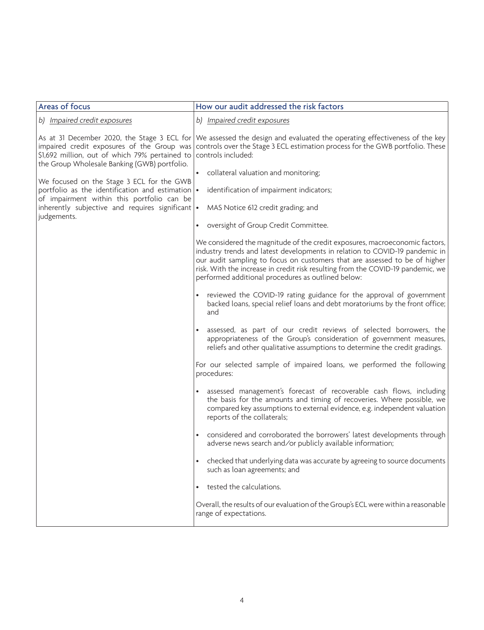| Areas of focus                                                                                                                                                                              | How our audit addressed the risk factors                                                                                                                                                                                                                                                                                                                                          |
|---------------------------------------------------------------------------------------------------------------------------------------------------------------------------------------------|-----------------------------------------------------------------------------------------------------------------------------------------------------------------------------------------------------------------------------------------------------------------------------------------------------------------------------------------------------------------------------------|
| b) Impaired credit exposures                                                                                                                                                                | b) Impaired credit exposures                                                                                                                                                                                                                                                                                                                                                      |
| As at 31 December 2020, the Stage 3 ECL for<br>impaired credit exposures of the Group was<br>\$1,692 million, out of which 79% pertained to<br>the Group Wholesale Banking (GWB) portfolio. | We assessed the design and evaluated the operating effectiveness of the key<br>controls over the Stage 3 ECL estimation process for the GWB portfolio. These<br>controls included:                                                                                                                                                                                                |
| We focused on the Stage 3 ECL for the GWB                                                                                                                                                   | collateral valuation and monitoring;                                                                                                                                                                                                                                                                                                                                              |
| portfolio as the identification and estimation $\cdot$<br>of impairment within this portfolio can be                                                                                        | identification of impairment indicators;                                                                                                                                                                                                                                                                                                                                          |
| inherently subjective and requires significant $\cdot$<br>judgements.                                                                                                                       | MAS Notice 612 credit grading; and                                                                                                                                                                                                                                                                                                                                                |
|                                                                                                                                                                                             | oversight of Group Credit Committee.<br>$\bullet$                                                                                                                                                                                                                                                                                                                                 |
|                                                                                                                                                                                             | We considered the magnitude of the credit exposures, macroeconomic factors,<br>industry trends and latest developments in relation to COVID-19 pandemic in<br>our audit sampling to focus on customers that are assessed to be of higher<br>risk. With the increase in credit risk resulting from the COVID-19 pandemic, we<br>performed additional procedures as outlined below: |
|                                                                                                                                                                                             | reviewed the COVID-19 rating guidance for the approval of government<br>backed loans, special relief loans and debt moratoriums by the front office;<br>and                                                                                                                                                                                                                       |
|                                                                                                                                                                                             | assessed, as part of our credit reviews of selected borrowers, the<br>appropriateness of the Group's consideration of government measures,<br>reliefs and other qualitative assumptions to determine the credit gradings.                                                                                                                                                         |
|                                                                                                                                                                                             | For our selected sample of impaired loans, we performed the following<br>procedures:                                                                                                                                                                                                                                                                                              |
|                                                                                                                                                                                             | assessed management's forecast of recoverable cash flows, including<br>the basis for the amounts and timing of recoveries. Where possible, we<br>compared key assumptions to external evidence, e.g. independent valuation<br>reports of the collaterals;                                                                                                                         |
|                                                                                                                                                                                             | considered and corroborated the borrowers' latest developments through<br>$\bullet$<br>adverse news search and/or publicly available information;                                                                                                                                                                                                                                 |
|                                                                                                                                                                                             | checked that underlying data was accurate by agreeing to source documents<br>such as loan agreements; and                                                                                                                                                                                                                                                                         |
|                                                                                                                                                                                             | tested the calculations.                                                                                                                                                                                                                                                                                                                                                          |
|                                                                                                                                                                                             | Overall, the results of our evaluation of the Group's ECL were within a reasonable<br>range of expectations.                                                                                                                                                                                                                                                                      |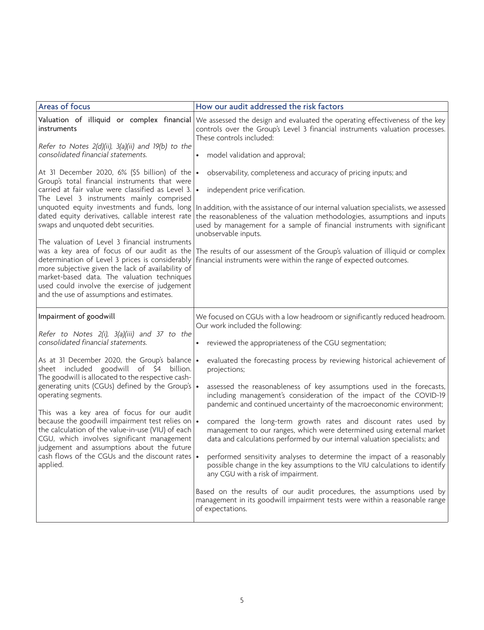| Areas of focus                                                                                                                                                                                                                                                                                                                                                                                                                                                                                                                                                                                                                                                                                          | How our audit addressed the risk factors                                                                                                                                                                                                                                                                                                                                                                                                                                                                                          |
|---------------------------------------------------------------------------------------------------------------------------------------------------------------------------------------------------------------------------------------------------------------------------------------------------------------------------------------------------------------------------------------------------------------------------------------------------------------------------------------------------------------------------------------------------------------------------------------------------------------------------------------------------------------------------------------------------------|-----------------------------------------------------------------------------------------------------------------------------------------------------------------------------------------------------------------------------------------------------------------------------------------------------------------------------------------------------------------------------------------------------------------------------------------------------------------------------------------------------------------------------------|
| <i>instruments</i><br>Refer to Notes 2(d)(ii), 3(a)(ii) and 19(b) to the                                                                                                                                                                                                                                                                                                                                                                                                                                                                                                                                                                                                                                | Valuation of illiquid or complex financial We assessed the design and evaluated the operating effectiveness of the key<br>controls over the Group's Level 3 financial instruments valuation processes.<br>These controls included:                                                                                                                                                                                                                                                                                                |
| consolidated financial statements.                                                                                                                                                                                                                                                                                                                                                                                                                                                                                                                                                                                                                                                                      | model validation and approval;<br>$\bullet$                                                                                                                                                                                                                                                                                                                                                                                                                                                                                       |
| At 31 December 2020, 6% (\$5 billion) of the $\cdot$<br>Group's total financial instruments that were<br>carried at fair value were classified as Level 3. •<br>The Level 3 instruments mainly comprised<br>unquoted equity investments and funds, long<br>dated equity derivatives, callable interest rate<br>swaps and unquoted debt securities.<br>The valuation of Level 3 financial instruments<br>was a key area of focus of our audit as the<br>determination of Level 3 prices is considerably<br>more subjective given the lack of availability of<br>market-based data. The valuation techniques<br>used could involve the exercise of judgement<br>and the use of assumptions and estimates. | observability, completeness and accuracy of pricing inputs; and<br>independent price verification.<br>In addition, with the assistance of our internal valuation specialists, we assessed<br>the reasonableness of the valuation methodologies, assumptions and inputs<br>used by management for a sample of financial instruments with significant<br>unobservable inputs.<br>The results of our assessment of the Group's valuation of illiquid or complex<br>financial instruments were within the range of expected outcomes. |
| Impairment of goodwill                                                                                                                                                                                                                                                                                                                                                                                                                                                                                                                                                                                                                                                                                  | We focused on CGUs with a low headroom or significantly reduced headroom.<br>Our work included the following:                                                                                                                                                                                                                                                                                                                                                                                                                     |
| Refer to Notes 2(i), 3(a)(iii) and 37 to the<br>consolidated financial statements.                                                                                                                                                                                                                                                                                                                                                                                                                                                                                                                                                                                                                      | reviewed the appropriateness of the CGU segmentation;                                                                                                                                                                                                                                                                                                                                                                                                                                                                             |
| As at 31 December 2020, the Group's balance<br>sheet included goodwill of \$4 billion.<br>The goodwill is allocated to the respective cash-<br>generating units (CGUs) defined by the Group's •<br>operating segments.                                                                                                                                                                                                                                                                                                                                                                                                                                                                                  | evaluated the forecasting process by reviewing historical achievement of<br>$\bullet$<br>projections;<br>assessed the reasonableness of key assumptions used in the forecasts,<br>including management's consideration of the impact of the COVID-19                                                                                                                                                                                                                                                                              |
| This was a key area of focus for our audit                                                                                                                                                                                                                                                                                                                                                                                                                                                                                                                                                                                                                                                              | pandemic and continued uncertainty of the macroeconomic environment;                                                                                                                                                                                                                                                                                                                                                                                                                                                              |
| because the goodwill impairment test relies on<br>the calculation of the value-in-use (VIU) of each<br>CGU, which involves significant management<br>judgement and assumptions about the future                                                                                                                                                                                                                                                                                                                                                                                                                                                                                                         | compared the long-term growth rates and discount rates used by<br>management to our ranges, which were determined using external market<br>data and calculations performed by our internal valuation specialists; and                                                                                                                                                                                                                                                                                                             |
| cash flows of the CGUs and the discount rates<br>applied.                                                                                                                                                                                                                                                                                                                                                                                                                                                                                                                                                                                                                                               | performed sensitivity analyses to determine the impact of a reasonably<br>possible change in the key assumptions to the VIU calculations to identify<br>any CGU with a risk of impairment.                                                                                                                                                                                                                                                                                                                                        |
|                                                                                                                                                                                                                                                                                                                                                                                                                                                                                                                                                                                                                                                                                                         | Based on the results of our audit procedures, the assumptions used by<br>management in its goodwill impairment tests were within a reasonable range<br>of expectations.                                                                                                                                                                                                                                                                                                                                                           |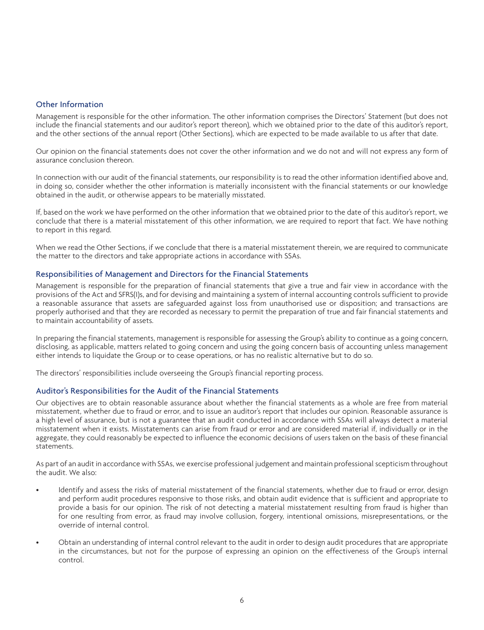#### Other Information

Management is responsible for the other information. The other information comprises the Directors' Statement (but does not include the financial statements and our auditor's report thereon), which we obtained prior to the date of this auditor's report, and the other sections of the annual report (Other Sections), which are expected to be made available to us after that date.

Our opinion on the financial statements does not cover the other information and we do not and will not express any form of assurance conclusion thereon.

In connection with our audit of the financial statements, our responsibility is to read the other information identified above and, in doing so, consider whether the other information is materially inconsistent with the financial statements or our knowledge obtained in the audit, or otherwise appears to be materially misstated.

If, based on the work we have performed on the other information that we obtained prior to the date of this auditor's report, we conclude that there is a material misstatement of this other information, we are required to report that fact. We have nothing to report in this regard.

When we read the Other Sections, if we conclude that there is a material misstatement therein, we are required to communicate the matter to the directors and take appropriate actions in accordance with SSAs.

#### Responsibilities of Management and Directors for the Financial Statements

Management is responsible for the preparation of financial statements that give a true and fair view in accordance with the provisions of the Act and SFRS(I)s, and for devising and maintaining a system of internal accounting controls sufficient to provide a reasonable assurance that assets are safeguarded against loss from unauthorised use or disposition; and transactions are properly authorised and that they are recorded as necessary to permit the preparation of true and fair financial statements and to maintain accountability of assets.

In preparing the financial statements, management is responsible for assessing the Group's ability to continue as a going concern, disclosing, as applicable, matters related to going concern and using the going concern basis of accounting unless management either intends to liquidate the Group or to cease operations, or has no realistic alternative but to do so.

The directors' responsibilities include overseeing the Group's financial reporting process.

#### Auditor's Responsibilities for the Audit of the Financial Statements

Our objectives are to obtain reasonable assurance about whether the financial statements as a whole are free from material misstatement, whether due to fraud or error, and to issue an auditor's report that includes our opinion. Reasonable assurance is a high level of assurance, but is not a guarantee that an audit conducted in accordance with SSAs will always detect a material misstatement when it exists. Misstatements can arise from fraud or error and are considered material if, individually or in the aggregate, they could reasonably be expected to influence the economic decisions of users taken on the basis of these financial statements.

As part of an audit in accordance with SSAs, we exercise professional judgement and maintain professional scepticism throughout the audit. We also:

- Identify and assess the risks of material misstatement of the financial statements, whether due to fraud or error, design and perform audit procedures responsive to those risks, and obtain audit evidence that is sufficient and appropriate to provide a basis for our opinion. The risk of not detecting a material misstatement resulting from fraud is higher than for one resulting from error, as fraud may involve collusion, forgery, intentional omissions, misrepresentations, or the override of internal control.
- Obtain an understanding of internal control relevant to the audit in order to design audit procedures that are appropriate in the circumstances, but not for the purpose of expressing an opinion on the effectiveness of the Group's internal control.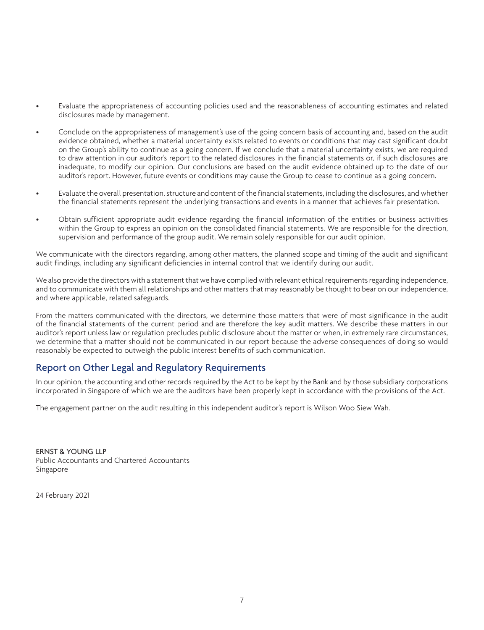- Evaluate the appropriateness of accounting policies used and the reasonableness of accounting estimates and related disclosures made by management.
- Conclude on the appropriateness of management's use of the going concern basis of accounting and, based on the audit evidence obtained, whether a material uncertainty exists related to events or conditions that may cast significant doubt on the Group's ability to continue as a going concern. If we conclude that a material uncertainty exists, we are required to draw attention in our auditor's report to the related disclosures in the financial statements or, if such disclosures are inadequate, to modify our opinion. Our conclusions are based on the audit evidence obtained up to the date of our auditor's report. However, future events or conditions may cause the Group to cease to continue as a going concern.
- Evaluate the overall presentation, structure and content of the financial statements, including the disclosures, and whether the financial statements represent the underlying transactions and events in a manner that achieves fair presentation.
- Obtain sufficient appropriate audit evidence regarding the financial information of the entities or business activities within the Group to express an opinion on the consolidated financial statements. We are responsible for the direction, supervision and performance of the group audit. We remain solely responsible for our audit opinion.

We communicate with the directors regarding, among other matters, the planned scope and timing of the audit and significant audit findings, including any significant deficiencies in internal control that we identify during our audit.

We also provide the directors with a statement that we have complied with relevant ethical requirements regarding independence, and to communicate with them all relationships and other matters that may reasonably be thought to bear on our independence, and where applicable, related safeguards.

From the matters communicated with the directors, we determine those matters that were of most significance in the audit of the financial statements of the current period and are therefore the key audit matters. We describe these matters in our auditor's report unless law or regulation precludes public disclosure about the matter or when, in extremely rare circumstances, we determine that a matter should not be communicated in our report because the adverse consequences of doing so would reasonably be expected to outweigh the public interest benefits of such communication.

## Report on Other Legal and Regulatory Requirements

In our opinion, the accounting and other records required by the Act to be kept by the Bank and by those subsidiary corporations incorporated in Singapore of which we are the auditors have been properly kept in accordance with the provisions of the Act.

The engagement partner on the audit resulting in this independent auditor's report is Wilson Woo Siew Wah.

ERNST & YOUNG LLP Public Accountants and Chartered Accountants Singapore

24 February 2021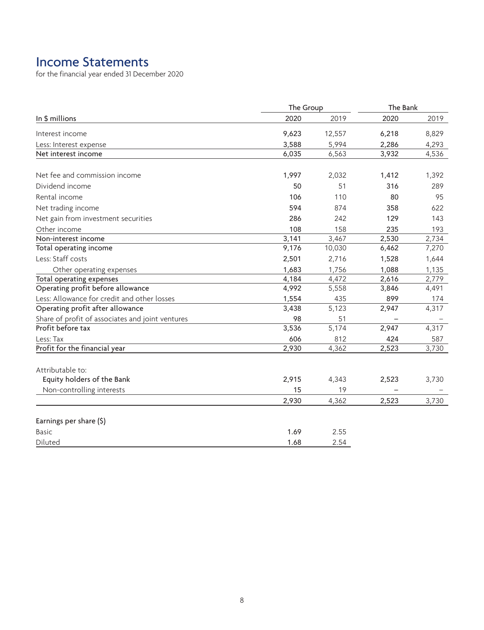# Income Statements

for the financial year ended 31 December 2020

|                                                  | The Group |        | The Bank |       |
|--------------------------------------------------|-----------|--------|----------|-------|
| In \$ millions                                   | 2020      | 2019   | 2020     | 2019  |
| Interest income                                  | 9,623     | 12,557 | 6,218    | 8,829 |
| Less: Interest expense                           | 3,588     | 5,994  | 2,286    | 4,293 |
| Net interest income                              | 6,035     | 6,563  | 3,932    | 4,536 |
| Net fee and commission income                    | 1,997     | 2,032  | 1,412    | 1,392 |
| Dividend income                                  | 50        | 51     | 316      | 289   |
| Rental income                                    | 106       | 110    | 80       | 95    |
| Net trading income                               | 594       | 874    | 358      | 622   |
| Net gain from investment securities              | 286       | 242    | 129      | 143   |
| Other income                                     | 108       | 158    | 235      | 193   |
| Non-interest income                              | 3,141     | 3,467  | 2,530    | 2,734 |
| Total operating income                           | 9,176     | 10,030 | 6,462    | 7,270 |
| Less: Staff costs                                | 2,501     | 2,716  | 1,528    | 1,644 |
| Other operating expenses                         | 1,683     | 1,756  | 1,088    | 1,135 |
| Total operating expenses                         | 4,184     | 4,472  | 2,616    | 2,779 |
| Operating profit before allowance                | 4,992     | 5,558  | 3,846    | 4,491 |
| Less: Allowance for credit and other losses      | 1,554     | 435    | 899      | 174   |
| Operating profit after allowance                 | 3,438     | 5,123  | 2,947    | 4,317 |
| Share of profit of associates and joint ventures | 98        | 51     |          |       |
| Profit before tax                                | 3,536     | 5,174  | 2,947    | 4,317 |
| Less: Tax                                        | 606       | 812    | 424      | 587   |
| Profit for the financial year                    | 2,930     | 4,362  | 2,523    | 3,730 |
| Attributable to:                                 |           |        |          |       |
| Equity holders of the Bank                       | 2,915     | 4,343  | 2,523    | 3,730 |
| Non-controlling interests                        | 15        | 19     |          |       |
|                                                  | 2,930     | 4,362  | 2,523    | 3,730 |
| Earnings per share (\$)                          |           |        |          |       |
| <b>Basic</b>                                     | 1.69      | 2.55   |          |       |
| Diluted                                          | 1.68      | 2.54   |          |       |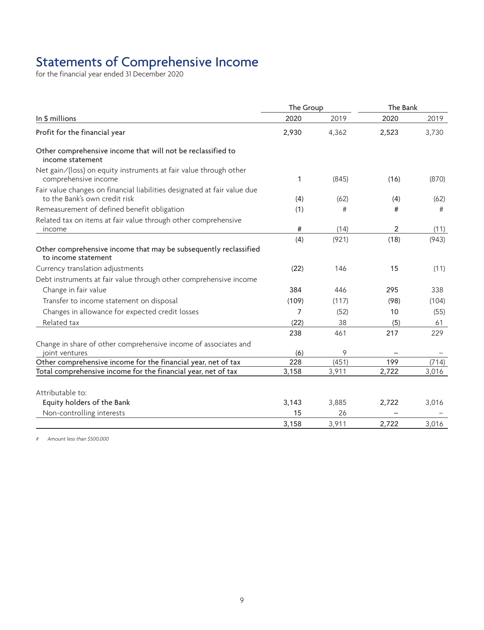# Statements of Comprehensive Income

for the financial year ended 31 December 2020

|                                                                                                           | The Group |       | The Bank       |       |
|-----------------------------------------------------------------------------------------------------------|-----------|-------|----------------|-------|
| In \$ millions                                                                                            | 2020      | 2019  | 2020           | 2019  |
| Profit for the financial year                                                                             | 2,930     | 4,362 | 2,523          | 3,730 |
| Other comprehensive income that will not be reclassified to<br>income statement                           |           |       |                |       |
| Net gain/(loss) on equity instruments at fair value through other<br>comprehensive income                 | 1         | (845) | (16)           | (870) |
| Fair value changes on financial liabilities designated at fair value due<br>to the Bank's own credit risk | (4)       | (62)  | (4)            | (62)  |
| Remeasurement of defined benefit obligation                                                               | (1)       | #     | #              | #     |
| Related tax on items at fair value through other comprehensive<br>income                                  | #         | (14)  | $\overline{2}$ | (11)  |
|                                                                                                           | (4)       | (921) | (18)           | (943) |
| Other comprehensive income that may be subsequently reclassified<br>to income statement                   |           |       |                |       |
| Currency translation adjustments                                                                          | (22)      | 146   | 15             | (11)  |
| Debt instruments at fair value through other comprehensive income                                         |           |       |                |       |
| Change in fair value                                                                                      | 384       | 446   | 295            | 338   |
| Transfer to income statement on disposal                                                                  | (109)     | (117) | (98)           | (104) |
| Changes in allowance for expected credit losses                                                           | 7         | (52)  | 10             | (55)  |
| Related tax                                                                                               | (22)      | 38    | (5)            | 61    |
|                                                                                                           | 238       | 461   | 217            | 229   |
| Change in share of other comprehensive income of associates and                                           |           |       |                |       |
| joint ventures                                                                                            | (6)       | 9     |                |       |
| Other comprehensive income for the financial year, net of tax                                             | 228       | (451) | 199            | (714) |
| Total comprehensive income for the financial year, net of tax                                             | 3,158     | 3,911 | 2,722          | 3,016 |
| Attributable to:                                                                                          |           |       |                |       |
| Equity holders of the Bank                                                                                | 3,143     | 3,885 | 2,722          | 3,016 |
| Non-controlling interests                                                                                 | 15        | 26    |                |       |
|                                                                                                           | 3,158     | 3,911 | 2,722          | 3.016 |

# Amount less than \$500,000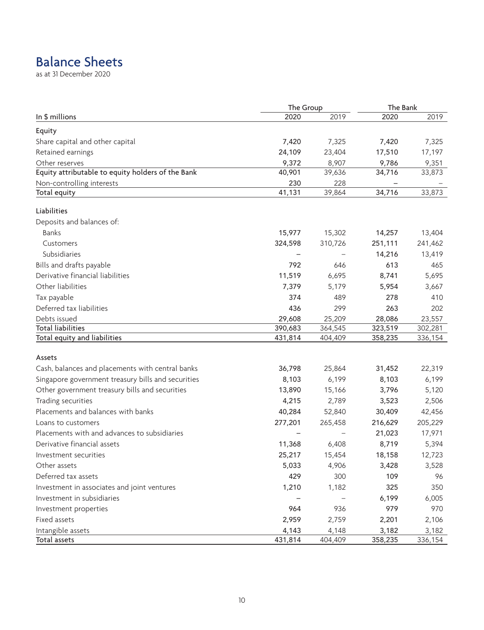# Balance Sheets

as at 31 December 2020

|                                                    | The Group |         | The Bank |         |
|----------------------------------------------------|-----------|---------|----------|---------|
| In \$ millions                                     | 2020      | 2019    | 2020     | 2019    |
| Equity                                             |           |         |          |         |
| Share capital and other capital                    | 7,420     | 7,325   | 7,420    | 7,325   |
| Retained earnings                                  | 24,109    | 23,404  | 17,510   | 17,197  |
| Other reserves                                     | 9,372     | 8,907   | 9,786    | 9,351   |
| Equity attributable to equity holders of the Bank  | 40,901    | 39,636  | 34,716   | 33,873  |
| Non-controlling interests                          | 230       | 228     |          |         |
| Total equity                                       | 41,131    | 39,864  | 34,716   | 33,873  |
| Liabilities                                        |           |         |          |         |
| Deposits and balances of:                          |           |         |          |         |
| <b>Banks</b>                                       | 15,977    | 15,302  | 14,257   | 13,404  |
| Customers                                          | 324,598   | 310,726 | 251,111  | 241,462 |
| Subsidiaries                                       |           |         | 14,216   | 13,419  |
| Bills and drafts payable                           | 792       | 646     | 613      | 465     |
| Derivative financial liabilities                   | 11,519    | 6,695   | 8,741    | 5,695   |
| Other liabilities                                  | 7,379     | 5,179   | 5,954    | 3,667   |
| Tax payable                                        | 374       | 489     | 278      | 410     |
| Deferred tax liabilities                           | 436       | 299     | 263      | 202     |
| Debts issued                                       | 29,608    | 25,209  | 28,086   | 23,557  |
| <b>Total liabilities</b>                           | 390,683   | 364,545 | 323,519  | 302,281 |
| Total equity and liabilities                       | 431,814   | 404,409 | 358,235  | 336,154 |
| Assets                                             |           |         |          |         |
| Cash, balances and placements with central banks   | 36,798    | 25,864  | 31,452   | 22,319  |
| Singapore government treasury bills and securities | 8,103     | 6,199   | 8,103    | 6,199   |
| Other government treasury bills and securities     | 13,890    | 15,166  | 3,796    | 5,120   |
| Trading securities                                 | 4,215     | 2,789   | 3,523    | 2,506   |
| Placements and balances with banks                 | 40,284    | 52,840  | 30,409   | 42,456  |
| Loans to customers                                 | 277,201   | 265,458 | 216,629  | 205,229 |
| Placements with and advances to subsidiaries       |           |         | 21,023   | 17,971  |
| Derivative financial assets                        | 11,368    | 6,408   | 8,719    | 5,394   |
| Investment securities                              | 25,217    | 15,454  | 18,158   | 12,723  |
| Other assets                                       | 5,033     | 4,906   | 3,428    | 3,528   |
| Deferred tax assets                                | 429       | 300     | 109      | 96      |
| Investment in associates and joint ventures        | 1,210     | 1,182   | 325      | 350     |
| Investment in subsidiaries                         |           |         | 6,199    | 6,005   |
| Investment properties                              | 964       | 936     | 979      | 970     |
| Fixed assets                                       | 2,959     | 2,759   | 2,201    | 2,106   |
| Intangible assets                                  | 4,143     | 4,148   | 3,182    | 3,182   |
| Total assets                                       | 431,814   | 404,409 | 358,235  | 336,154 |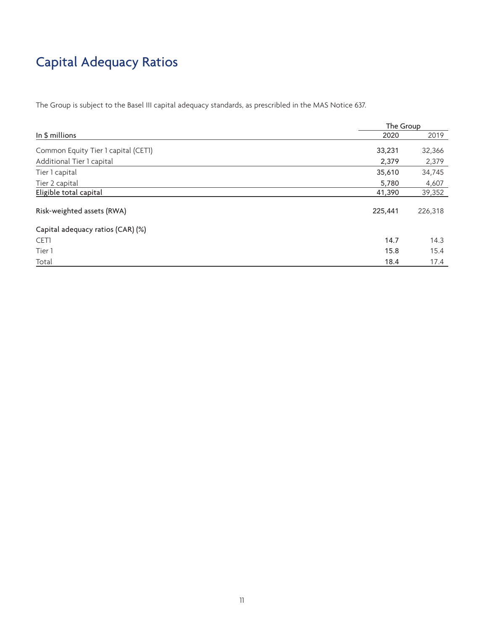# Capital Adequacy Ratios

The Group is subject to the Basel III capital adequacy standards, as prescribled in the MAS Notice 637.

|                                     |         | The Group |  |  |
|-------------------------------------|---------|-----------|--|--|
| In \$ millions                      | 2020    | 2019      |  |  |
| Common Equity Tier 1 capital (CET1) | 33,231  | 32,366    |  |  |
| Additional Tier 1 capital           | 2,379   | 2,379     |  |  |
| Tier 1 capital                      | 35,610  | 34,745    |  |  |
| Tier 2 capital                      | 5,780   | 4,607     |  |  |
| Eligible total capital              | 41,390  | 39,352    |  |  |
| Risk-weighted assets (RWA)          | 225,441 | 226,318   |  |  |
| Capital adequacy ratios (CAR) (%)   |         |           |  |  |
| CET1                                | 14.7    | 14.3      |  |  |
| Tier 1                              | 15.8    | 15.4      |  |  |
| Total                               | 18.4    | 17.4      |  |  |